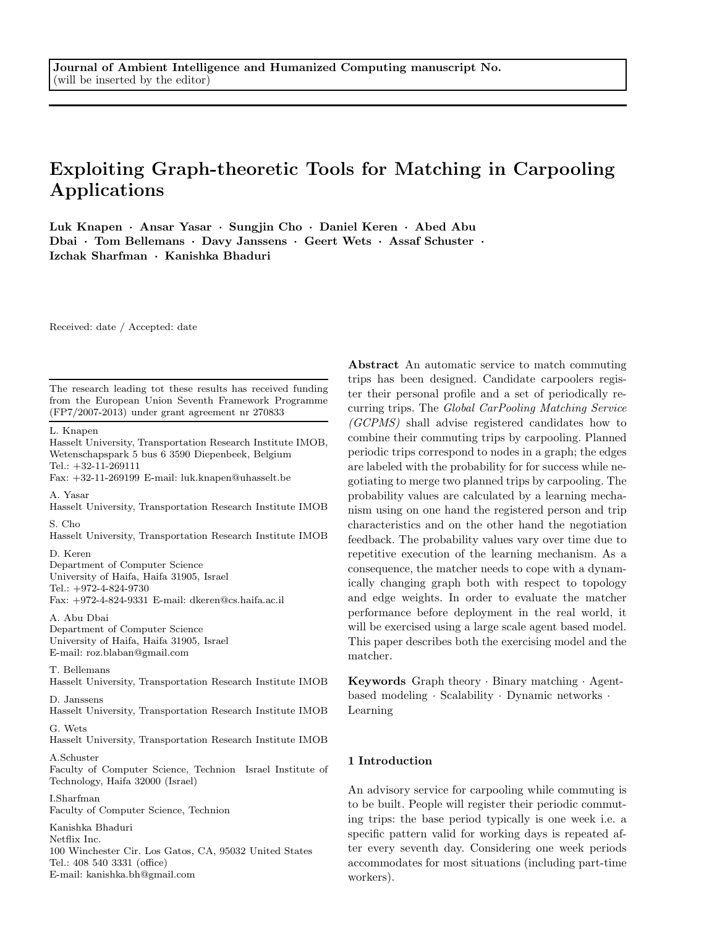# Exploiting Graph-theoretic Tools for Matching in Carpooling Applications

Luk Knapen · Ansar Yasar · Sungjin Cho · Daniel Keren · Abed Abu Dbai · Tom Bellemans · Davy Janssens · Geert Wets · Assaf Schuster · Izchak Sharfman · Kanishka Bhaduri

Received: date / Accepted: date

The research leading tot these results has received funding from the European Union Seventh Framework Programme (FP7/2007-2013) under grant agreement nr 270833

L. Knapen

Hasselt University, Transportation Research Institute IMOB, Wetenschapspark 5 bus 6 3590 Diepenbeek, Belgium Tel.: +32-11-269111 Fax: +32-11-269199 E-mail: luk.knapen@uhasselt.be

A. Yasar

Hasselt University, Transportation Research Institute IMOB S. Cho

Hasselt University, Transportation Research Institute IMOB D. Keren

Department of Computer Science University of Haifa, Haifa 31905, Israel Tel.: +972-4-824-9730 Fax: +972-4-824-9331 E-mail: dkeren@cs.haifa.ac.il

A. Abu Dbai Department of Computer Science University of Haifa, Haifa 31905, Israel E-mail: roz.blaban@gmail.com

T. Bellemans Hasselt University, Transportation Research Institute IMOB

D. Janssens Hasselt University, Transportation Research Institute IMOB

G. Wets Hasselt University, Transportation Research Institute IMOB

A.Schuster Faculty of Computer Science, Technion Israel Institute of Technology, Haifa 32000 (Israel)

I.Sharfman Faculty of Computer Science, Technion

Kanishka Bhaduri Netflix Inc. 100 Winchester Cir. Los Gatos, CA, 95032 United States Tel.: 408 540 3331 (office) E-mail: kanishka.bh@gmail.com

Abstract An automatic service to match commuting trips has been designed. Candidate carpoolers register their personal profile and a set of periodically recurring trips. The *Global CarPooling Matching Service (GCPMS)* shall advise registered candidates how to combine their commuting trips by carpooling. Planned periodic trips correspond to nodes in a graph; the edges are labeled with the probability for for success while negotiating to merge two planned trips by carpooling. The probability values are calculated by a learning mechanism using on one hand the registered person and trip characteristics and on the other hand the negotiation feedback. The probability values vary over time due to repetitive execution of the learning mechanism. As a consequence, the matcher needs to cope with a dynamically changing graph both with respect to topology and edge weights. In order to evaluate the matcher performance before deployment in the real world, it will be exercised using a large scale agent based model. This paper describes both the exercising model and the matcher.

Keywords Graph theory · Binary matching · Agentbased modeling · Scalability · Dynamic networks · Learning

## 1 Introduction

An advisory service for carpooling while commuting is to be built. People will register their periodic commuting trips: the base period typically is one week i.e. a specific pattern valid for working days is repeated after every seventh day. Considering one week periods accommodates for most situations (including part-time workers).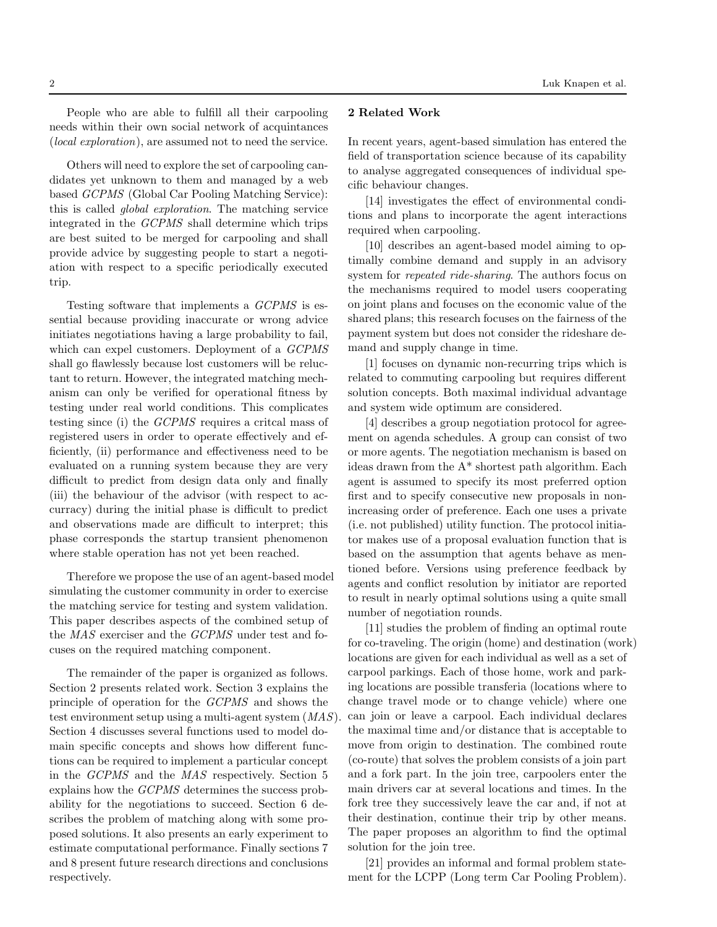People who are able to fulfill all their carpooling needs within their own social network of acquintances (*local exploration*), are assumed not to need the service.

Others will need to explore the set of carpooling candidates yet unknown to them and managed by a web based *GCPMS* (Global Car Pooling Matching Service): this is called *global exploration*. The matching service integrated in the *GCPMS* shall determine which trips are best suited to be merged for carpooling and shall provide advice by suggesting people to start a negotiation with respect to a specific periodically executed trip.

Testing software that implements a *GCPMS* is essential because providing inaccurate or wrong advice initiates negotiations having a large probability to fail, which can expel customers. Deployment of a *GCPMS* shall go flawlessly because lost customers will be reluctant to return. However, the integrated matching mechanism can only be verified for operational fitness by testing under real world conditions. This complicates testing since (i) the *GCPMS* requires a critcal mass of registered users in order to operate effectively and efficiently, (ii) performance and effectiveness need to be evaluated on a running system because they are very difficult to predict from design data only and finally (iii) the behaviour of the advisor (with respect to accurracy) during the initial phase is difficult to predict and observations made are difficult to interpret; this phase corresponds the startup transient phenomenon where stable operation has not yet been reached.

Therefore we propose the use of an agent-based model simulating the customer community in order to exercise the matching service for testing and system validation. This paper describes aspects of the combined setup of the *MAS* exerciser and the *GCPMS* under test and focuses on the required matching component.

The remainder of the paper is organized as follows. Section 2 presents related work. Section 3 explains the principle of operation for the *GCPMS* and shows the test environment setup using a multi-agent system (*MAS*). Section 4 discusses several functions used to model domain specific concepts and shows how different functions can be required to implement a particular concept in the *GCPMS* and the *MAS* respectively. Section 5 explains how the *GCPMS* determines the success probability for the negotiations to succeed. Section 6 describes the problem of matching along with some proposed solutions. It also presents an early experiment to estimate computational performance. Finally sections 7 and 8 present future research directions and conclusions respectively.

#### 2 Related Work

In recent years, agent-based simulation has entered the field of transportation science because of its capability to analyse aggregated consequences of individual specific behaviour changes.

[14] investigates the effect of environmental conditions and plans to incorporate the agent interactions required when carpooling.

[10] describes an agent-based model aiming to optimally combine demand and supply in an advisory system for *repeated ride-sharing*. The authors focus on the mechanisms required to model users cooperating on joint plans and focuses on the economic value of the shared plans; this research focuses on the fairness of the payment system but does not consider the rideshare demand and supply change in time.

[1] focuses on dynamic non-recurring trips which is related to commuting carpooling but requires different solution concepts. Both maximal individual advantage and system wide optimum are considered.

[4] describes a group negotiation protocol for agreement on agenda schedules. A group can consist of two or more agents. The negotiation mechanism is based on ideas drawn from the A\* shortest path algorithm. Each agent is assumed to specify its most preferred option first and to specify consecutive new proposals in nonincreasing order of preference. Each one uses a private (i.e. not published) utility function. The protocol initiator makes use of a proposal evaluation function that is based on the assumption that agents behave as mentioned before. Versions using preference feedback by agents and conflict resolution by initiator are reported to result in nearly optimal solutions using a quite small number of negotiation rounds.

[11] studies the problem of finding an optimal route for co-traveling. The origin (home) and destination (work) locations are given for each individual as well as a set of carpool parkings. Each of those home, work and parking locations are possible transferia (locations where to change travel mode or to change vehicle) where one can join or leave a carpool. Each individual declares the maximal time and/or distance that is acceptable to move from origin to destination. The combined route (co-route) that solves the problem consists of a join part and a fork part. In the join tree, carpoolers enter the main drivers car at several locations and times. In the fork tree they successively leave the car and, if not at their destination, continue their trip by other means. The paper proposes an algorithm to find the optimal solution for the join tree.

[21] provides an informal and formal problem statement for the LCPP (Long term Car Pooling Problem).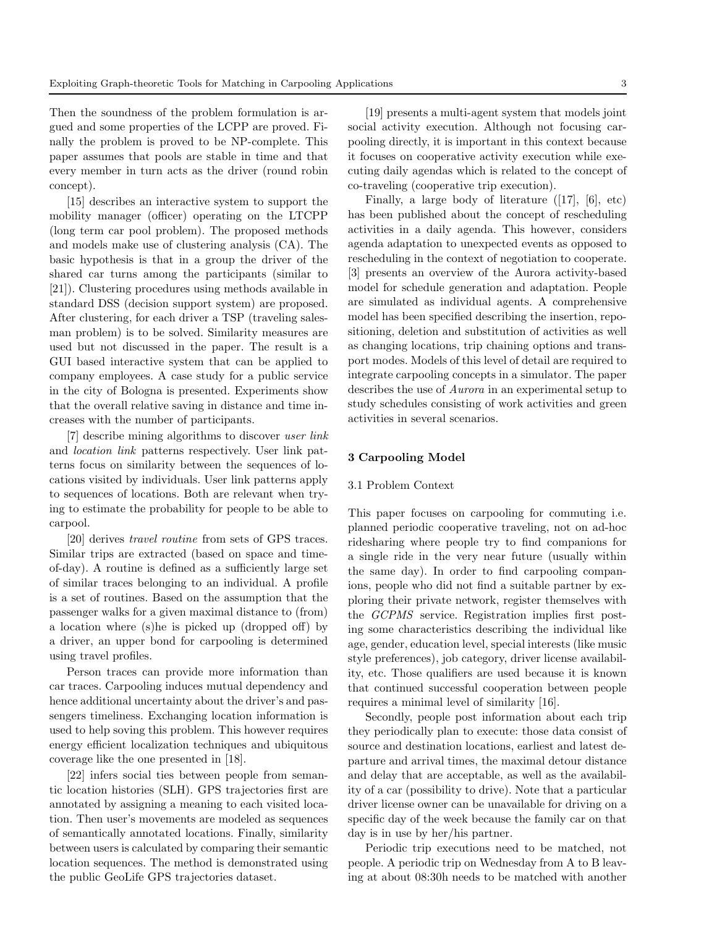Then the soundness of the problem formulation is argued and some properties of the LCPP are proved. Finally the problem is proved to be NP-complete. This paper assumes that pools are stable in time and that every member in turn acts as the driver (round robin concept).

[15] describes an interactive system to support the mobility manager (officer) operating on the LTCPP (long term car pool problem). The proposed methods and models make use of clustering analysis (CA). The basic hypothesis is that in a group the driver of the shared car turns among the participants (similar to [21]). Clustering procedures using methods available in standard DSS (decision support system) are proposed. After clustering, for each driver a TSP (traveling salesman problem) is to be solved. Similarity measures are used but not discussed in the paper. The result is a GUI based interactive system that can be applied to company employees. A case study for a public service in the city of Bologna is presented. Experiments show that the overall relative saving in distance and time increases with the number of participants.

[7] describe mining algorithms to discover *user link* and *location link* patterns respectively. User link patterns focus on similarity between the sequences of locations visited by individuals. User link patterns apply to sequences of locations. Both are relevant when trying to estimate the probability for people to be able to carpool.

[20] derives *travel routine* from sets of GPS traces. Similar trips are extracted (based on space and timeof-day). A routine is defined as a sufficiently large set of similar traces belonging to an individual. A profile is a set of routines. Based on the assumption that the passenger walks for a given maximal distance to (from) a location where (s)he is picked up (dropped off) by a driver, an upper bond for carpooling is determined using travel profiles.

Person traces can provide more information than car traces. Carpooling induces mutual dependency and hence additional uncertainty about the driver's and passengers timeliness. Exchanging location information is used to help soving this problem. This however requires energy efficient localization techniques and ubiquitous coverage like the one presented in [18].

[22] infers social ties between people from semantic location histories (SLH). GPS trajectories first are annotated by assigning a meaning to each visited location. Then user's movements are modeled as sequences of semantically annotated locations. Finally, similarity between users is calculated by comparing their semantic location sequences. The method is demonstrated using the public GeoLife GPS trajectories dataset.

[19] presents a multi-agent system that models joint social activity execution. Although not focusing carpooling directly, it is important in this context because it focuses on cooperative activity execution while executing daily agendas which is related to the concept of co-traveling (cooperative trip execution).

Finally, a large body of literature ([17], [6], etc) has been published about the concept of rescheduling activities in a daily agenda. This however, considers agenda adaptation to unexpected events as opposed to rescheduling in the context of negotiation to cooperate. [3] presents an overview of the Aurora activity-based model for schedule generation and adaptation. People are simulated as individual agents. A comprehensive model has been specified describing the insertion, repositioning, deletion and substitution of activities as well as changing locations, trip chaining options and transport modes. Models of this level of detail are required to integrate carpooling concepts in a simulator. The paper describes the use of *Aurora* in an experimental setup to study schedules consisting of work activities and green activities in several scenarios.

## 3 Carpooling Model

#### 3.1 Problem Context

This paper focuses on carpooling for commuting i.e. planned periodic cooperative traveling, not on ad-hoc ridesharing where people try to find companions for a single ride in the very near future (usually within the same day). In order to find carpooling companions, people who did not find a suitable partner by exploring their private network, register themselves with the *GCPMS* service. Registration implies first posting some characteristics describing the individual like age, gender, education level, special interests (like music style preferences), job category, driver license availability, etc. Those qualifiers are used because it is known that continued successful cooperation between people requires a minimal level of similarity [16].

Secondly, people post information about each trip they periodically plan to execute: those data consist of source and destination locations, earliest and latest departure and arrival times, the maximal detour distance and delay that are acceptable, as well as the availability of a car (possibility to drive). Note that a particular driver license owner can be unavailable for driving on a specific day of the week because the family car on that day is in use by her/his partner.

Periodic trip executions need to be matched, not people. A periodic trip on Wednesday from A to B leaving at about 08:30h needs to be matched with another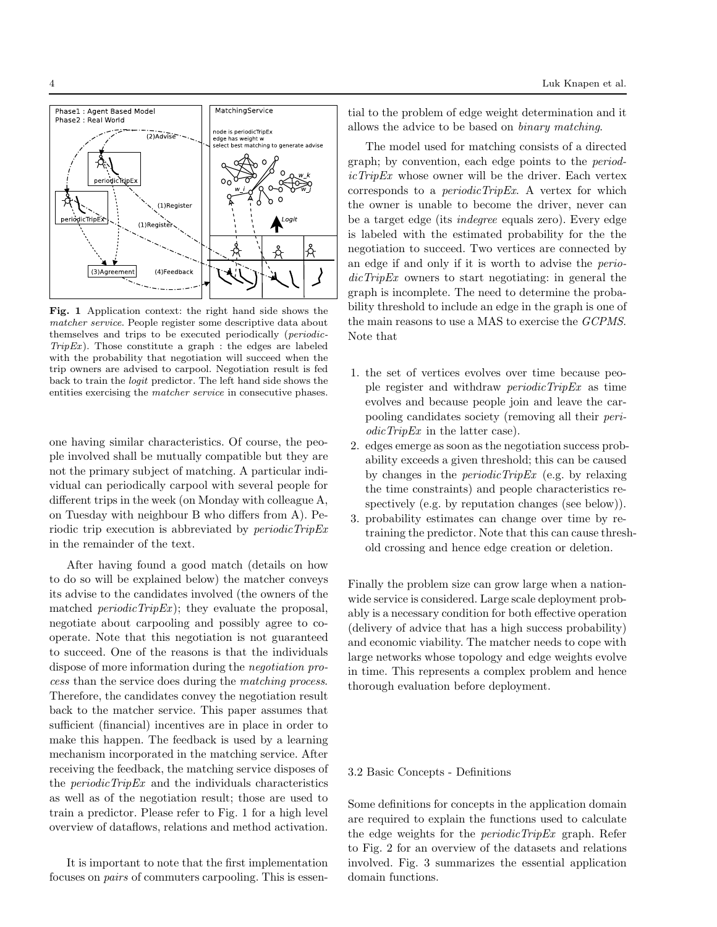

Fig. 1 Application context: the right hand side shows the matcher service. People register some descriptive data about themselves and trips to be executed periodically (periodic- $TripEx$ ). Those constitute a graph : the edges are labeled with the probability that negotiation will succeed when the trip owners are advised to carpool. Negotiation result is fed back to train the logit predictor. The left hand side shows the entities exercising the matcher service in consecutive phases.

one having similar characteristics. Of course, the people involved shall be mutually compatible but they are not the primary subject of matching. A particular individual can periodically carpool with several people for different trips in the week (on Monday with colleague A, on Tuesday with neighbour B who differs from A). Periodic trip execution is abbreviated by *periodicTripEx* in the remainder of the text.

After having found a good match (details on how to do so will be explained below) the matcher conveys its advise to the candidates involved (the owners of the matched *periodicTripEx* ); they evaluate the proposal, negotiate about carpooling and possibly agree to cooperate. Note that this negotiation is not guaranteed to succeed. One of the reasons is that the individuals dispose of more information during the *negotiation process* than the service does during the *matching process*. Therefore, the candidates convey the negotiation result back to the matcher service. This paper assumes that sufficient (financial) incentives are in place in order to make this happen. The feedback is used by a learning mechanism incorporated in the matching service. After receiving the feedback, the matching service disposes of the *periodicTripEx* and the individuals characteristics as well as of the negotiation result; those are used to train a predictor. Please refer to Fig. 1 for a high level overview of dataflows, relations and method activation.

It is important to note that the first implementation focuses on *pairs* of commuters carpooling. This is essential to the problem of edge weight determination and it allows the advice to be based on *binary matching*.

The model used for matching consists of a directed graph; by convention, each edge points to the *periodicTripEx* whose owner will be the driver. Each vertex corresponds to a *periodicTripEx*. A vertex for which the owner is unable to become the driver, never can be a target edge (its *indegree* equals zero). Every edge is labeled with the estimated probability for the the negotiation to succeed. Two vertices are connected by an edge if and only if it is worth to advise the *periodicTripEx* owners to start negotiating: in general the graph is incomplete. The need to determine the probability threshold to include an edge in the graph is one of the main reasons to use a MAS to exercise the *GCPMS*. Note that

- 1. the set of vertices evolves over time because people register and withdraw *periodicTripEx* as time evolves and because people join and leave the carpooling candidates society (removing all their *periodicTripEx* in the latter case).
- 2. edges emerge as soon as the negotiation success probability exceeds a given threshold; this can be caused by changes in the *periodicTripEx* (e.g. by relaxing the time constraints) and people characteristics respectively (e.g. by reputation changes (see below)).
- 3. probability estimates can change over time by retraining the predictor. Note that this can cause threshold crossing and hence edge creation or deletion.

Finally the problem size can grow large when a nationwide service is considered. Large scale deployment probably is a necessary condition for both effective operation (delivery of advice that has a high success probability) and economic viability. The matcher needs to cope with large networks whose topology and edge weights evolve in time. This represents a complex problem and hence thorough evaluation before deployment.

## 3.2 Basic Concepts - Definitions

Some definitions for concepts in the application domain are required to explain the functions used to calculate the edge weights for the *periodicTripEx* graph. Refer to Fig. 2 for an overview of the datasets and relations involved. Fig. 3 summarizes the essential application domain functions.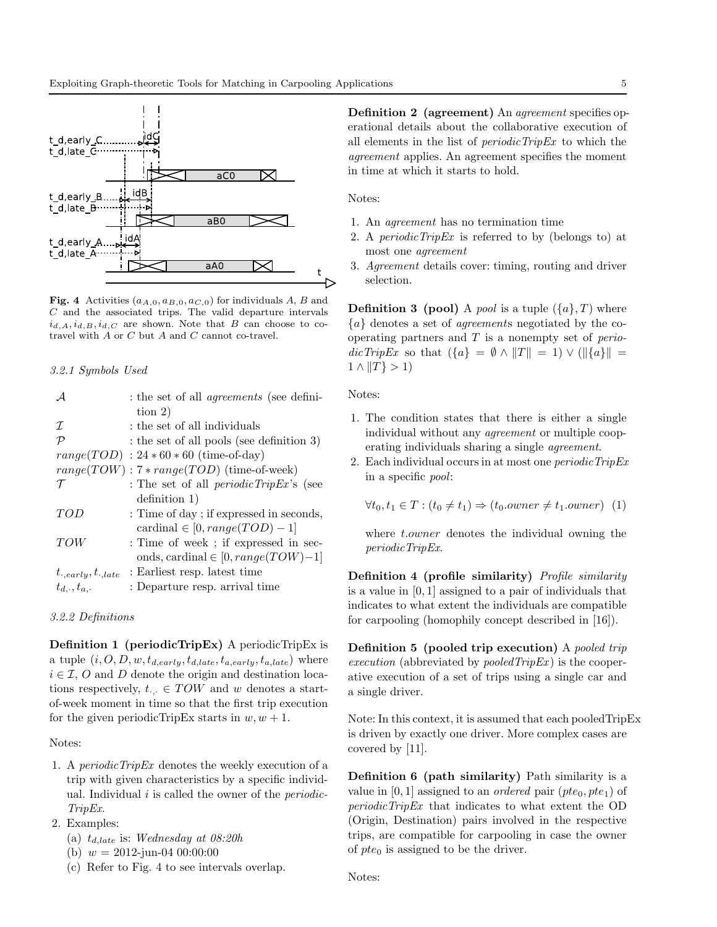

Fig. 4 Activities  $(a_{A,0}, a_{B,0}, a_{C,0})$  for individuals A, B and  $C$  and the associated trips. The valid departure intervals  $i_{d,A}, i_{d,B}, i_{d,C}$  are shown. Note that B can choose to cotravel with  $A$  or  $C$  but  $A$  and  $C$  cannot co-travel.

#### *3.2.1 Symbols Used*

|                                     | the set of all <i>agreements</i> (see defini-   |
|-------------------------------------|-------------------------------------------------|
|                                     | $\[\tan 2)$                                     |
| $\tau$                              | the set of all individuals                      |
| P                                   | : the set of all pools (see definition 3)       |
|                                     | $range(TOD)$ : 24 $*$ 60 $*$ 60 (time-of-day)   |
|                                     | $range(TOW): 7 * range(TOD)$ (time-of-week)     |
|                                     | : The set of all <i>periodic TripEx</i> 's (see |
|                                     | definition 1)                                   |
| TOD                                 | : Time of day; if expressed in seconds,         |
|                                     | cardinal $\in [0, range(TOD) - 1]$              |
| <i>TOW</i>                          | : Time of week ; if expressed in sec-           |
|                                     | onds, cardinal $\in [0, range(TOW)-1]$          |
| $t_{\cdot, early}, t_{\cdot, late}$ | : Earliest resp. latest time                    |
| $t_{d,\cdot}, t_{a,\cdot}$          | : Departure resp. arrival time                  |

*3.2.2 Definitions*

Definition 1 (periodicTripEx) A periodicTripEx is a tuple  $(i, O, D, w, t_{d, early}, t_{d, late}, t_{a, early}, t_{a, late})$  where  $i \in \mathcal{I}$ , O and D denote the origin and destination locations respectively,  $t_{\cdot,\cdot} \in TOW$  and w denotes a startof-week moment in time so that the first trip execution for the given periodicTripEx starts in  $w, w + 1$ .

Notes:

- 1. A *periodicTripEx* denotes the weekly execution of a trip with given characteristics by a specific individual. Individual i is called the owner of the *periodic-TripEx*.
- 2. Examples:
	- (a) td,late is: *Wednesday at 08:20h*
	- (b)  $w = 2012$ -jun-04 00:00:00
	- (c) Refer to Fig. 4 to see intervals overlap.

Definition 2 (agreement) An *agreement* specifies operational details about the collaborative execution of all elements in the list of *periodicTripEx* to which the *agreement* applies. An agreement specifies the moment in time at which it starts to hold.

Notes:

- 1. An *agreement* has no termination time
- 2. A *periodicTripEx* is referred to by (belongs to) at most one *agreement*
- 3. *Agreement* details cover: timing, routing and driver selection.

**Definition 3 (pool)** A *pool* is a tuple  $({a}, T)$  where {a} denotes a set of *agreement*s negotiated by the cooperating partners and T is a nonempty set of *perio* $dicTripEx$  so that  $({a} = \emptyset \wedge ||T|| = 1) \vee (||{a}|| =$  $1 \wedge ||T| > 1$ 

Notes:

- 1. The condition states that there is either a single individual without any *agreement* or multiple cooperating individuals sharing a single *agreement*.
- 2. Each individual occurs in at most one *periodicTripEx* in a specific *pool*:

$$
\forall t_0, t_1 \in T : (t_0 \neq t_1) \Rightarrow (t_0 \text{.} \text{under } \neq t_1 \text{.} \text{under}) \tag{1}
$$

where *t.owner* denotes the individual owning the *periodicTripEx*.

Definition 4 (profile similarity) *Profile similarity* is a value in [0, 1] assigned to a pair of individuals that indicates to what extent the individuals are compatible for carpooling (homophily concept described in [16]).

Definition 5 (pooled trip execution) A *pooled trip execution* (abbreviated by *pooledTripEx* ) is the cooperative execution of a set of trips using a single car and a single driver.

Note: In this context, it is assumed that each pooledTripEx is driven by exactly one driver. More complex cases are covered by [11].

Definition 6 (path similarity) Path similarity is a value in  $[0, 1]$  assigned to an *ordered* pair  $(pte_0, pte_1)$  of *periodicTripEx* that indicates to what extent the OD (Origin, Destination) pairs involved in the respective trips, are compatible for carpooling in case the owner of  $pt e_0$  is assigned to be the driver.

Notes: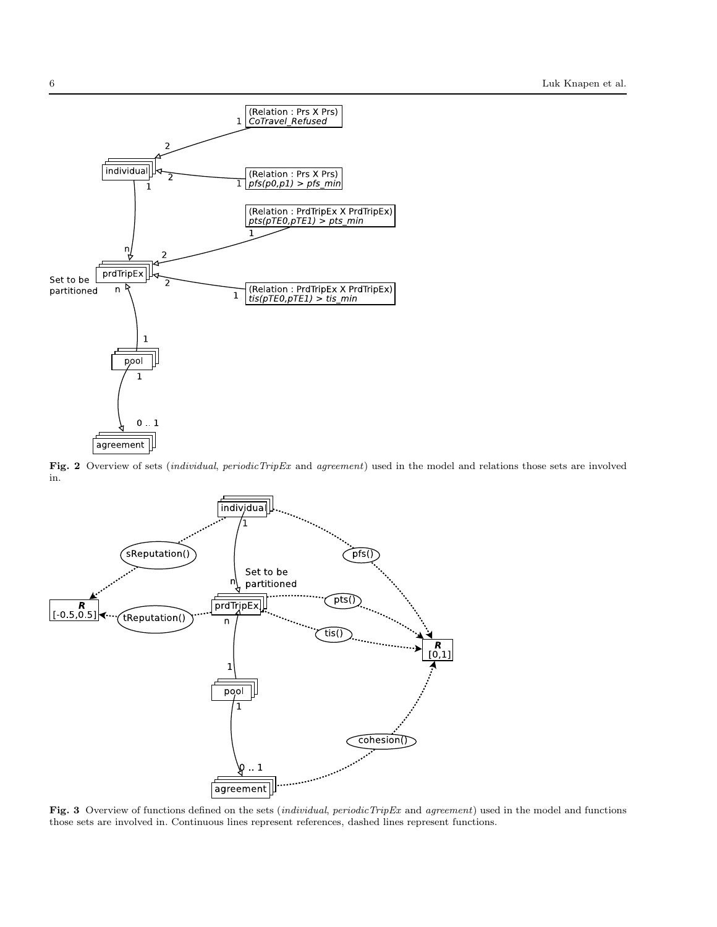

Fig. 2 Overview of sets (individual, periodicTripEx and agreement) used in the model and relations those sets are involved in.



Fig. 3 Overview of functions defined on the sets (individual, periodicTripEx and agreement) used in the model and functions those sets are involved in. Continuous lines represent references, dashed lines represent functions.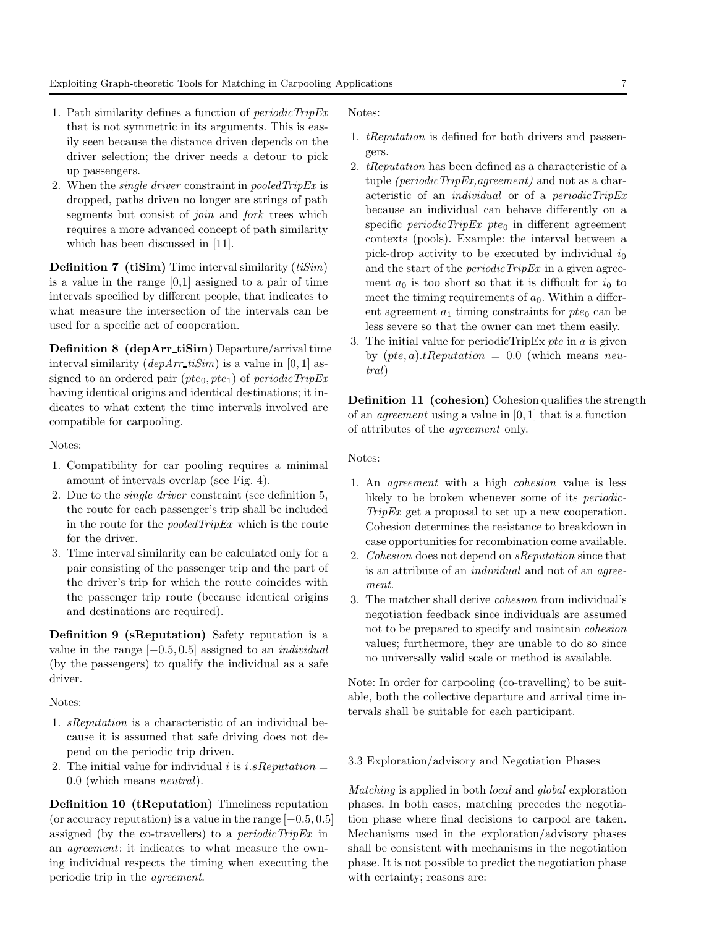- 1. Path similarity defines a function of *periodicTripEx* that is not symmetric in its arguments. This is easily seen because the distance driven depends on the driver selection; the driver needs a detour to pick up passengers.
- 2. When the *single driver* constraint in *pooledTripEx* is dropped, paths driven no longer are strings of path segments but consist of *join* and *fork* trees which requires a more advanced concept of path similarity which has been discussed in [11].

Definition 7 (tiSim) Time interval similarity (*tiSim*) is a value in the range [0,1] assigned to a pair of time intervals specified by different people, that indicates to what measure the intersection of the intervals can be used for a specific act of cooperation.

Definition 8 (depArr\_tiSim) Departure/arrival time interval similarity (*depArr tiSim*) is a value in [0, 1] assigned to an ordered pair  $(pte_0, pte_1)$  of  $periodicTripEx$ having identical origins and identical destinations; it indicates to what extent the time intervals involved are compatible for carpooling.

# Notes:

- 1. Compatibility for car pooling requires a minimal amount of intervals overlap (see Fig. 4).
- 2. Due to the *single driver* constraint (see definition 5, the route for each passenger's trip shall be included in the route for the *pooledTripEx* which is the route for the driver.
- 3. Time interval similarity can be calculated only for a pair consisting of the passenger trip and the part of the driver's trip for which the route coincides with the passenger trip route (because identical origins and destinations are required).

Definition 9 (sReputation) Safety reputation is a value in the range [−0.5, 0.5] assigned to an *individual* (by the passengers) to qualify the individual as a safe driver.

Notes:

- 1. *sReputation* is a characteristic of an individual because it is assumed that safe driving does not depend on the periodic trip driven.
- 2. The initial value for individual i is  $i.sReputation =$ 0.0 (which means *neutral*).

Definition 10 (tReputation) Timeliness reputation (or accuracy reputation) is a value in the range  $[-0.5, 0.5]$ assigned (by the co-travellers) to a *periodicTripEx* in an *agreement*: it indicates to what measure the owning individual respects the timing when executing the periodic trip in the *agreement*.

Notes:

- 1. *tReputation* is defined for both drivers and passengers.
- 2. *tReputation* has been defined as a characteristic of a tuple *(periodicTripEx,agreement)* and not as a characteristic of an *individual* or of a *periodicTripEx* because an individual can behave differently on a specific *periodicTripEx*  $pte_0$  in different agreement contexts (pools). Example: the interval between a pick-drop activity to be executed by individual  $i_0$ and the start of the *periodicTripEx* in a given agreement  $a_0$  is too short so that it is difficult for  $i_0$  to meet the timing requirements of  $a_0$ . Within a different agreement  $a_1$  timing constraints for  $pt e_0$  can be less severe so that the owner can met them easily.
- 3. The initial value for periodicTripEx  $pte$  in  $a$  is given by  $(pte, a)$ .tReputation = 0.0 (which means *neutral*)

Definition 11 (cohesion) Cohesion qualifies the strength of an *agreement* using a value in [0, 1] that is a function of attributes of the *agreement* only.

Notes:

- 1. An *agreement* with a high *cohesion* value is less likely to be broken whenever some of its *periodic-TripEx* get a proposal to set up a new cooperation. Cohesion determines the resistance to breakdown in case opportunities for recombination come available.
- 2. *Cohesion* does not depend on *sReputation* since that is an attribute of an *individual* and not of an *agreement*.
- 3. The matcher shall derive *cohesion* from individual's negotiation feedback since individuals are assumed not to be prepared to specify and maintain *cohesion* values; furthermore, they are unable to do so since no universally valid scale or method is available.

Note: In order for carpooling (co-travelling) to be suitable, both the collective departure and arrival time intervals shall be suitable for each participant.

# 3.3 Exploration/advisory and Negotiation Phases

*Matching* is applied in both *local* and *global* exploration phases. In both cases, matching precedes the negotiation phase where final decisions to carpool are taken. Mechanisms used in the exploration/advisory phases shall be consistent with mechanisms in the negotiation phase. It is not possible to predict the negotiation phase with certainty; reasons are: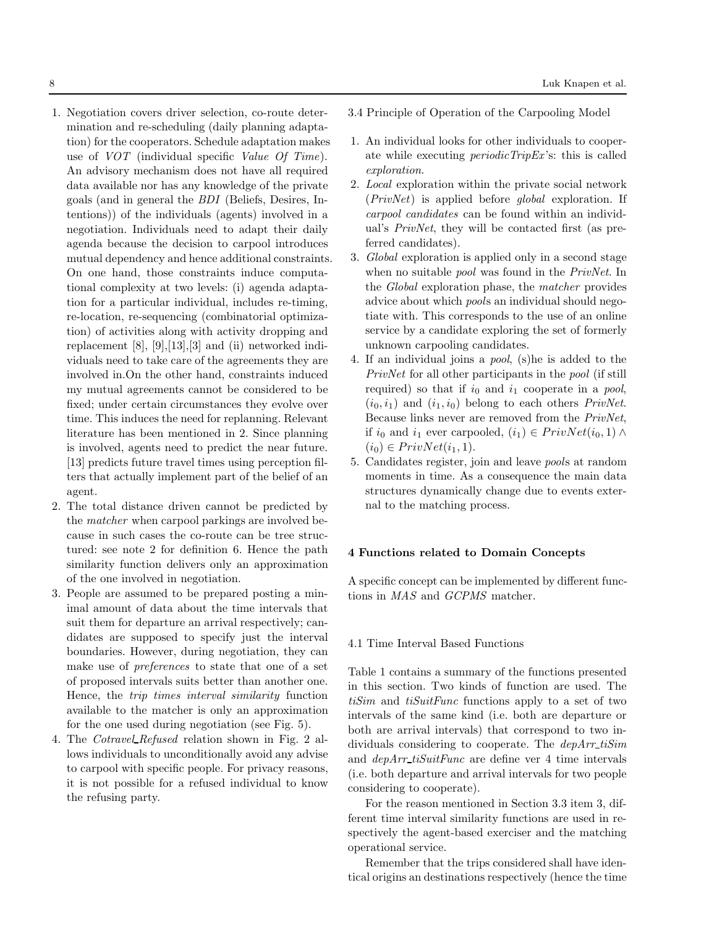- 1. Negotiation covers driver selection, co-route determination and re-scheduling (daily planning adaptation) for the cooperators. Schedule adaptation makes use of *VOT* (individual specific *Value Of Time*). An advisory mechanism does not have all required data available nor has any knowledge of the private goals (and in general the *BDI* (Beliefs, Desires, Intentions)) of the individuals (agents) involved in a negotiation. Individuals need to adapt their daily agenda because the decision to carpool introduces mutual dependency and hence additional constraints. On one hand, those constraints induce computational complexity at two levels: (i) agenda adaptation for a particular individual, includes re-timing, re-location, re-sequencing (combinatorial optimization) of activities along with activity dropping and replacement [8], [9],[13],[3] and (ii) networked individuals need to take care of the agreements they are involved in.On the other hand, constraints induced my mutual agreements cannot be considered to be fixed; under certain circumstances they evolve over time. This induces the need for replanning. Relevant literature has been mentioned in 2. Since planning is involved, agents need to predict the near future. [13] predicts future travel times using perception filters that actually implement part of the belief of an agent.
- 2. The total distance driven cannot be predicted by the *matcher* when carpool parkings are involved because in such cases the co-route can be tree structured: see note 2 for definition 6. Hence the path similarity function delivers only an approximation of the one involved in negotiation.
- 3. People are assumed to be prepared posting a minimal amount of data about the time intervals that suit them for departure an arrival respectively; candidates are supposed to specify just the interval boundaries. However, during negotiation, they can make use of *preferences* to state that one of a set of proposed intervals suits better than another one. Hence, the *trip times interval similarity* function available to the matcher is only an approximation for the one used during negotiation (see Fig. 5).
- 4. The *Cotravel Refused* relation shown in Fig. 2 allows individuals to unconditionally avoid any advise to carpool with specific people. For privacy reasons, it is not possible for a refused individual to know the refusing party.
- 8 Luk Knapen et al.
	- 3.4 Principle of Operation of the Carpooling Model
	- 1. An individual looks for other individuals to cooperate while executing *periodicTripEx* 's: this is called *exploration*.
	- 2. *Local* exploration within the private social network (*PrivNet*) is applied before *global* exploration. If *carpool candidates* can be found within an individual's *PrivNet*, they will be contacted first (as preferred candidates).
	- 3. *Global* exploration is applied only in a second stage when no suitable *pool* was found in the *PrivNet*. In the *Global* exploration phase, the *matcher* provides advice about which *pool*s an individual should negotiate with. This corresponds to the use of an online service by a candidate exploring the set of formerly unknown carpooling candidates.
	- 4. If an individual joins a *pool*, (s)he is added to the *PrivNet* for all other participants in the *pool* (if still required) so that if  $i_0$  and  $i_1$  cooperate in a *pool*,  $(i_0, i_1)$  and  $(i_1, i_0)$  belong to each others *PrivNet*. Because links never are removed from the *PrivNet*, if  $i_0$  and  $i_1$  ever carpooled,  $(i_1) \in PrivNet(i_0, 1) \wedge$  $(i_0) \in PrivNet(i_1, 1).$
	- 5. Candidates register, join and leave *pool*s at random moments in time. As a consequence the main data structures dynamically change due to events external to the matching process.

## 4 Functions related to Domain Concepts

A specific concept can be implemented by different functions in *MAS* and *GCPMS* matcher.

## 4.1 Time Interval Based Functions

Table 1 contains a summary of the functions presented in this section. Two kinds of function are used. The *tiSim* and *tiSuitFunc* functions apply to a set of two intervals of the same kind (i.e. both are departure or both are arrival intervals) that correspond to two individuals considering to cooperate. The *depArr tiSim* and *depArr tiSuitFunc* are define ver 4 time intervals (i.e. both departure and arrival intervals for two people considering to cooperate).

For the reason mentioned in Section 3.3 item 3, different time interval similarity functions are used in respectively the agent-based exerciser and the matching operational service.

Remember that the trips considered shall have identical origins an destinations respectively (hence the time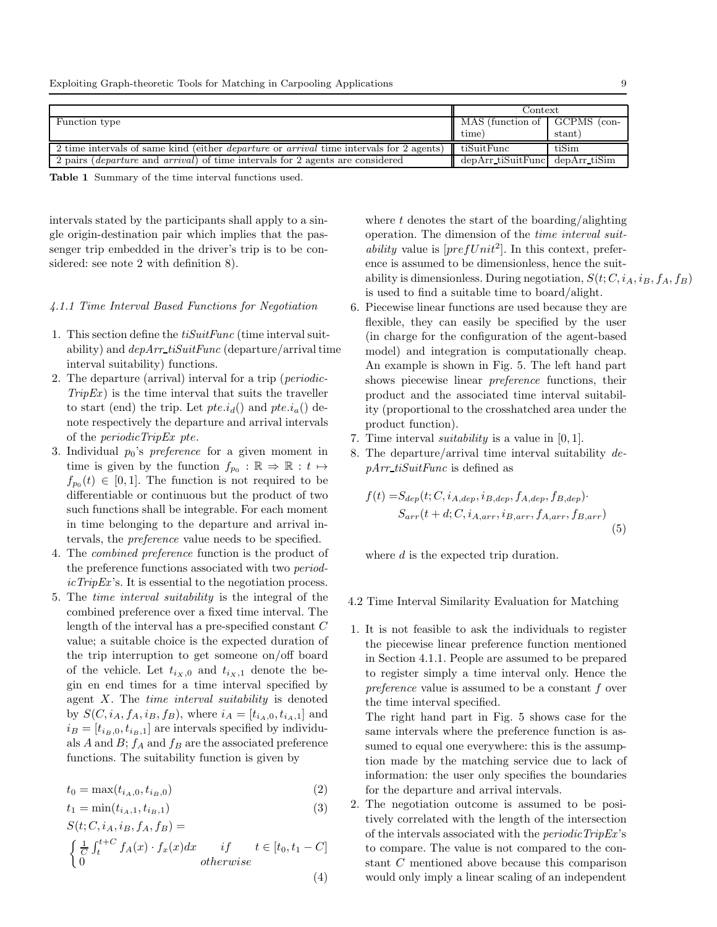|                                                                                                       | Context                        |        |
|-------------------------------------------------------------------------------------------------------|--------------------------------|--------|
| Function type                                                                                         | MAS (function of GCPMS (con-   |        |
|                                                                                                       | time)                          | stant) |
| 2 time intervals of same kind (either <i>departure</i> or <i>arrival</i> time intervals for 2 agents) | tiSuitFunc<br>- 11 -           | tiSim  |
| 2 pairs <i>(departure and arrival)</i> of time intervals for 2 agents are considered                  | depArr_tiSuitFunc depArr_tiSim |        |

Table 1 Summary of the time interval functions used.

intervals stated by the participants shall apply to a single origin-destination pair which implies that the passenger trip embedded in the driver's trip is to be considered: see note 2 with definition 8).

#### *4.1.1 Time Interval Based Functions for Negotiation*

- 1. This section define the *tiSuitFunc* (time interval suitability) and *depArr tiSuitFunc* (departure/arrival time interval suitability) functions.
- 2. The departure (arrival) interval for a trip (*periodic-TripEx* ) is the time interval that suits the traveller to start (end) the trip. Let  $pte.i_d()$  and  $pte.i_a()$  denote respectively the departure and arrival intervals of the *periodicTripEx* pte.
- 3. Individual  $p_0$ 's *preference* for a given moment in time is given by the function  $f_{p_0} : \mathbb{R} \Rightarrow \mathbb{R} : t \mapsto$  $f_{p0}(t) \in [0,1]$ . The function is not required to be differentiable or continuous but the product of two such functions shall be integrable. For each moment in time belonging to the departure and arrival intervals, the *preference* value needs to be specified.
- 4. The *combined preference* function is the product of the preference functions associated with two *periodicTripEx* 's. It is essential to the negotiation process.
- 5. The *time interval suitability* is the integral of the combined preference over a fixed time interval. The length of the interval has a pre-specified constant C value; a suitable choice is the expected duration of the trip interruption to get someone on/off board of the vehicle. Let  $t_{i_X,0}$  and  $t_{i_X,1}$  denote the begin en end times for a time interval specified by agent X. The *time interval suitability* is denoted by  $S(C, i_A, f_A, i_B, f_B)$ , where  $i_A = [t_{i_A,0}, t_{i_A,1}]$  and  $i_B = [t_{i_B,0}, t_{i_B,1}]$  are intervals specified by individuals A and  $B$ ;  $f_A$  and  $f_B$  are the associated preference functions. The suitability function is given by

$$
t_0 = \max(t_{i_A,0}, t_{i_B,0})
$$
\n(2)

$$
t_1 = \min(t_{i_A,1}, t_{i_B,1})
$$
  
\n
$$
S(t; C, i_A, i_B, f_A, f_B) =
$$
\n(3)

$$
\begin{cases} \frac{1}{C} \int_{t}^{t+C} f_{A}(x) \cdot f_{x}(x) dx & \text{if } t \in [t_{0}, t_{1} - C] \\ 0 & \text{otherwise} \end{cases}
$$
\n(4)

where  $t$  denotes the start of the boarding/alighting operation. The dimension of the *time interval suitability* value is  $[prefixUnit^2]$ . In this context, preference is assumed to be dimensionless, hence the suitability is dimensionless. During negotiation,  $S(t; C, i_A, i_B, f_A, f_B)$ is used to find a suitable time to board/alight.

- 6. Piecewise linear functions are used because they are flexible, they can easily be specified by the user (in charge for the configuration of the agent-based model) and integration is computationally cheap. An example is shown in Fig. 5. The left hand part shows piecewise linear *preference* functions, their product and the associated time interval suitability (proportional to the crosshatched area under the product function).
- 7. Time interval *suitability* is a value in [0, 1].
- 8. The departure/arrival time interval suitability *depArr tiSuitFunc* is defined as

$$
f(t) = S_{dep}(t; C, i_{A,dep}, i_{B,dep}, f_{A,dep}, f_{B,dep})
$$

$$
S_{arr}(t + d; C, i_{A,arr}, i_{B,arr}, f_{A,arr}, f_{B,arr})
$$

$$
(5)
$$

where d is the expected trip duration.

#### 4.2 Time Interval Similarity Evaluation for Matching

1. It is not feasible to ask the individuals to register the piecewise linear preference function mentioned in Section 4.1.1. People are assumed to be prepared to register simply a time interval only. Hence the *preference* value is assumed to be a constant f over the time interval specified.

The right hand part in Fig. 5 shows case for the same intervals where the preference function is assumed to equal one everywhere: this is the assumption made by the matching service due to lack of information: the user only specifies the boundaries for the departure and arrival intervals.

2. The negotiation outcome is assumed to be positively correlated with the length of the intersection of the intervals associated with the *periodicTripEx* 's to compare. The value is not compared to the constant C mentioned above because this comparison would only imply a linear scaling of an independent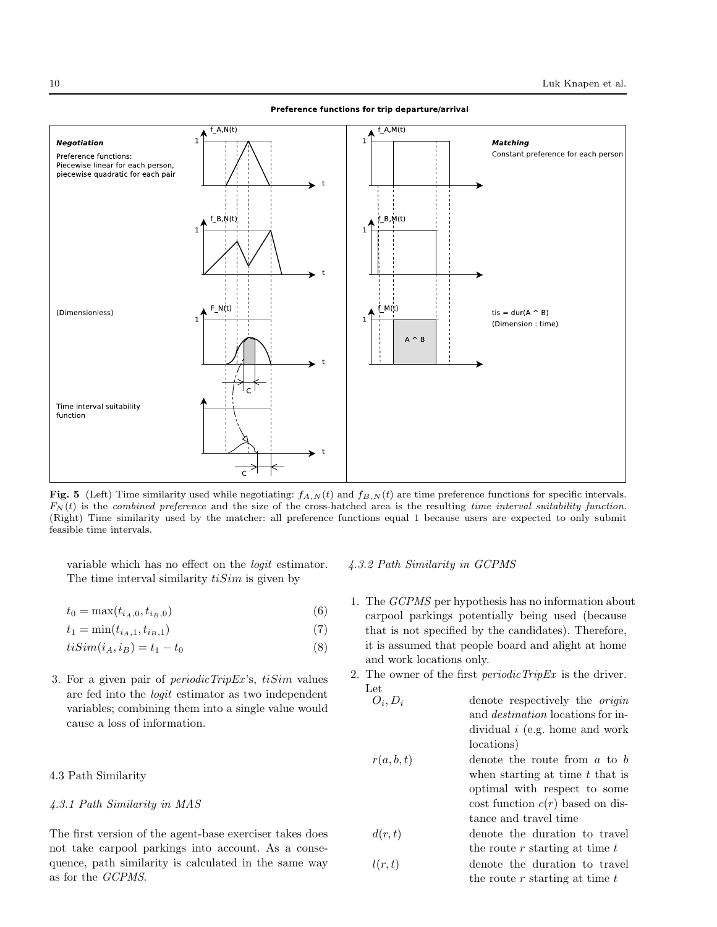

Fig. 5 (Left) Time similarity used while negotiating:  $f_{A,N}(t)$  and  $f_{B,N}(t)$  are time preference functions for specific intervals.  $F_N(t)$  is the combined preference and the size of the cross-hatched area is the resulting time interval suitability function. (Right) Time similarity used by the matcher: all preference functions equal 1 because users are expected to only submit feasible time intervals.

variable which has no effect on the *logit* estimator. The time interval similarity  $tiSim$  is given by

$$
t_0 = \max(t_{i_A,0}, t_{i_B,0})
$$
\n(6)

$$
t_1 = \min(t_{i_A,1}, t_{i_B,1})
$$
\n(7)

$$
tiSim(i_A, i_B) = t_1 - t_0 \tag{8}
$$

3. For a given pair of *periodicTripEx* 's, tiSim values are fed into the *logit* estimator as two independent variables; combining them into a single value would cause a loss of information.

# 4.3 Path Similarity

#### *4.3.1 Path Similarity in MAS*

The first version of the agent-base exerciser takes does not take carpool parkings into account. As a consequence, path similarity is calculated in the same way as for the *GCPMS*.

#### *4.3.2 Path Similarity in GCPMS*

- 1. The *GCPMS* per hypothesis has no information about carpool parkings potentially being used (because that is not specified by the candidates). Therefore, it is assumed that people board and alight at home and work locations only.
- 2. The owner of the first *periodicTripEx* is the driver. Let  $O_i, D_i$ 
	- denote respectively the *origin* and *destination* locations for individual i (e.g. home and work locations)
	- $r(a, b, t)$  denote the route from a to b when starting at time  $t$  that is optimal with respect to some cost function  $c(r)$  based on distance and travel time

$$
d(r,t) \qquad \qquad \text{denote the duration to travel}
$$

the route  $r$  starting at time  $t$  $l(r, t)$  denote the duration to travel the route  $r$  starting at time  $t$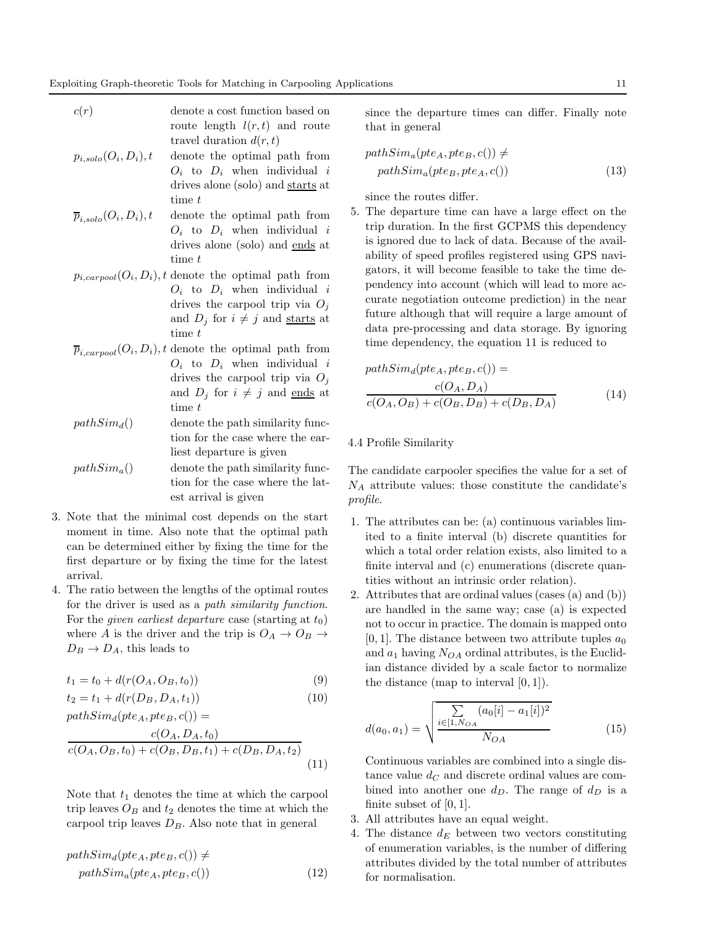- $c(r)$  denote a cost function based on route length  $l(r, t)$  and route travel duration  $d(r, t)$  $p_{i,solo}(O_i, D_i), t$ denote the optimal path from  $O_i$  to  $D_i$  when individual i drives alone (solo) and starts at time  $t$  $\overline{p}_{i,solo}(O_i, D_i), t$ denote the optimal path from  $O_i$  to  $D_i$  when individual i drives alone (solo) and ends at time t  $p_{i,carpool}(O_i, D_i)$ , t denote the optimal path from
- $O_i$  to  $D_i$  when individual i drives the carpool trip via  $O_i$ and  $D_j$  for  $i \neq j$  and starts at time  $t$
- $\overline{p}_{i, carpool}(O_i, D_i), t$  denote the optimal path from  $O_i$  to  $D_i$  when individual i drives the carpool trip via  $O_i$ and  $D_j$  for  $i \neq j$  and ends at time  $t$
- $pathSim_d()$  denote the path similarity function for the case where the earliest departure is given
- $pathSim_a()$  denote the path similarity function for the case where the latest arrival is given
- 3. Note that the minimal cost depends on the start moment in time. Also note that the optimal path can be determined either by fixing the time for the first departure or by fixing the time for the latest arrival.
- 4. The ratio between the lengths of the optimal routes for the driver is used as a *path similarity function*. For the *given earliest departure* case (starting at  $t_0$ ) where A is the driver and the trip is  $O_A \rightarrow O_B \rightarrow$  $D_B \rightarrow D_A$ , this leads to

$$
t_1 = t_0 + d(r(O_A, O_B, t_0))
$$
\n(9)

$$
t_2 = t_1 + d(r(D_B, D_A, t_1))
$$
\n(10)

$$
pathSim_d(pte_A, pte_B, c()) =
$$
  
\n
$$
\frac{c(O_A, D_A, t_0)}{c(O_A, O_B, t_0) + c(O_B, D_B, t_1) + c(D_B, D_A, t_2)}
$$
\n(11)

Note that  $t_1$  denotes the time at which the carpool trip leaves  $O_B$  and  $t_2$  denotes the time at which the carpool trip leaves  $D_B$ . Also note that in general

$$
pathSim_d(pte_A, pte_B, c()) \neq
$$
  
\n
$$
pathSim_a(pte_A, pte_B, c())
$$
\n(12)

since the departure times can differ. Finally note that in general

$$
pathSim_a(pte_A, pte_B, c()) \neq
$$
  
\n
$$
pathSim_a(pte_B, pte_A, c())
$$
\n(13)

since the routes differ.

5. The departure time can have a large effect on the trip duration. In the first GCPMS this dependency is ignored due to lack of data. Because of the availability of speed profiles registered using GPS navigators, it will become feasible to take the time dependency into account (which will lead to more accurate negotiation outcome prediction) in the near future although that will require a large amount of data pre-processing and data storage. By ignoring time dependency, the equation 11 is reduced to

$$
pathSim_d(pte_A, pte_B, c()) =
$$

$$
\frac{c(O_A, D_A)}{c(O_A, O_B) + c(O_B, D_B) + c(D_B, D_A)}
$$
(14)

## 4.4 Profile Similarity

The candidate carpooler specifies the value for a set of  $N_A$  attribute values: those constitute the candidate's *profile*.

- 1. The attributes can be: (a) continuous variables limited to a finite interval (b) discrete quantities for which a total order relation exists, also limited to a finite interval and (c) enumerations (discrete quantities without an intrinsic order relation).
- 2. Attributes that are ordinal values (cases (a) and (b)) are handled in the same way; case (a) is expected not to occur in practice. The domain is mapped onto [0, 1]. The distance between two attribute tuples  $a_0$ and  $a_1$  having  $N_{OA}$  ordinal attributes, is the Euclidian distance divided by a scale factor to normalize the distance (map to interval  $[0, 1]$ ).

$$
d(a_0, a_1) = \sqrt{\frac{\sum\limits_{i \in [1, N_{OA}} (a_0[i] - a_1[i])^2}{N_{OA}}}
$$
(15)

Continuous variables are combined into a single distance value  $d_C$  and discrete ordinal values are combined into another one  $d_D$ . The range of  $d_D$  is a finite subset of  $[0, 1]$ .

- 3. All attributes have an equal weight.
- 4. The distance  $d_E$  between two vectors constituting of enumeration variables, is the number of differing attributes divided by the total number of attributes for normalisation.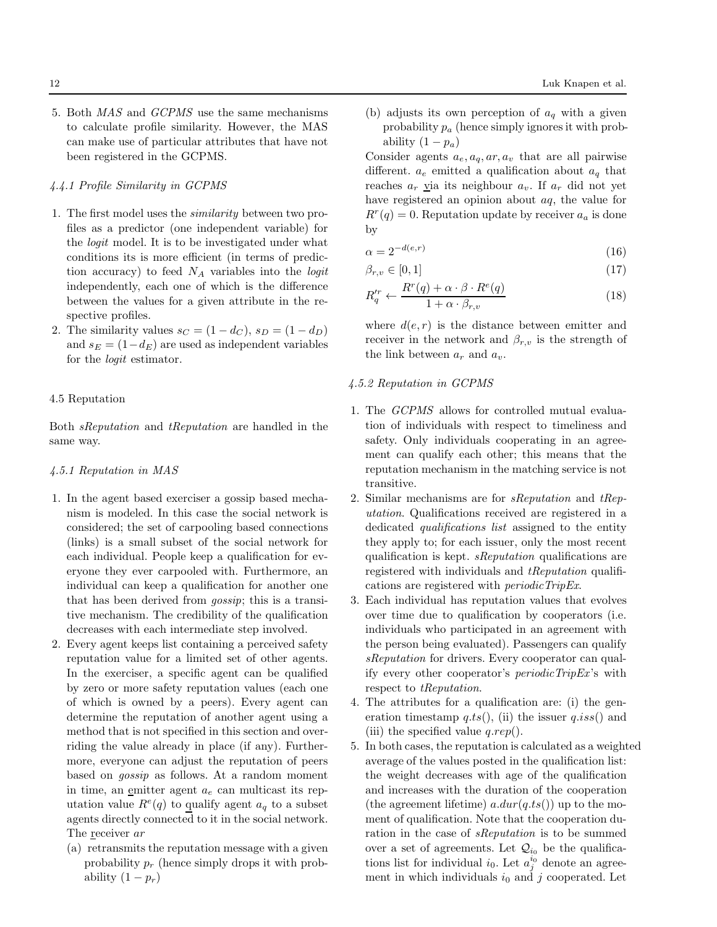5. Both *MAS* and *GCPMS* use the same mechanisms to calculate profile similarity. However, the MAS can make use of particular attributes that have not been registered in the GCPMS.

#### *4.4.1 Profile Similarity in GCPMS*

- 1. The first model uses the *similarity* between two profiles as a predictor (one independent variable) for the *logit* model. It is to be investigated under what conditions its is more efficient (in terms of prediction accuracy) to feed  $N_A$  variables into the *logit* independently, each one of which is the difference between the values for a given attribute in the respective profiles.
- 2. The similarity values  $s_C = (1 d_C)$ ,  $s_D = (1 d_D)$ and  $s_E = (1 - d_E)$  are used as independent variables for the *logit* estimator.

### 4.5 Reputation

Both *sReputation* and *tReputation* are handled in the same way.

# *4.5.1 Reputation in MAS*

- 1. In the agent based exerciser a gossip based mechanism is modeled. In this case the social network is considered; the set of carpooling based connections (links) is a small subset of the social network for each individual. People keep a qualification for everyone they ever carpooled with. Furthermore, an individual can keep a qualification for another one that has been derived from *gossip*; this is a transitive mechanism. The credibility of the qualification decreases with each intermediate step involved.
- 2. Every agent keeps list containing a perceived safety reputation value for a limited set of other agents. In the exerciser, a specific agent can be qualified by zero or more safety reputation values (each one of which is owned by a peers). Every agent can determine the reputation of another agent using a method that is not specified in this section and overriding the value already in place (if any). Furthermore, everyone can adjust the reputation of peers based on *gossip* as follows. At a random moment in time, an emitter agent  $a_e$  can multicast its reputation value  $R^{e}(q)$  to qualify agent  $a_q$  to a subset agents directly connected to it in the social network. The receiver ar
	- (a) retransmits the reputation message with a given probability  $p_r$  (hence simply drops it with probability  $(1 - p_r)$

(b) adjusts its own perception of  $a<sub>q</sub>$  with a given probability  $p_a$  (hence simply ignores it with probability  $(1 - p_a)$ 

Consider agents  $a_e, a_q, ar, a_v$  that are all pairwise different.  $a_e$  emitted a qualification about  $a_q$  that reaches  $a_r$  via its neighbour  $a_v$ . If  $a_r$  did not yet have registered an opinion about *aq*, the value for  $R^{r}(q) = 0.$  Reputation update by receiver  $a_{a}$  is done by

$$
\alpha = 2^{-d(e,r)}\tag{16}
$$

$$
\beta_{r,v} \in [0,1] \tag{17}
$$

$$
R_q^{\prime r} \leftarrow \frac{R^r(q) + \alpha \cdot \beta \cdot R^e(q)}{1 + \alpha \cdot \beta_{r,v}} \tag{18}
$$

where  $d(e, r)$  is the distance between emitter and receiver in the network and  $\beta_{r,v}$  is the strength of the link between  $a_r$  and  $a_v$ .

## *4.5.2 Reputation in GCPMS*

- 1. The *GCPMS* allows for controlled mutual evaluation of individuals with respect to timeliness and safety. Only individuals cooperating in an agreement can qualify each other; this means that the reputation mechanism in the matching service is not transitive.
- 2. Similar mechanisms are for *sReputation* and *tReputation*. Qualifications received are registered in a dedicated *qualifications list* assigned to the entity they apply to; for each issuer, only the most recent qualification is kept. *sReputation* qualifications are registered with individuals and *tReputation* qualifications are registered with *periodicTripEx*.
- 3. Each individual has reputation values that evolves over time due to qualification by cooperators (i.e. individuals who participated in an agreement with the person being evaluated). Passengers can qualify *sReputation* for drivers. Every cooperator can qualify every other cooperator's *periodicTripEx* 's with respect to *tReputation*.
- 4. The attributes for a qualification are: (i) the generation timestamp  $q.ts()$ , (ii) the issuer  $q.iss()$  and (iii) the specified value  $q.rep()$ .
- 5. In both cases, the reputation is calculated as a weighted average of the values posted in the qualification list: the weight decreases with age of the qualification and increases with the duration of the cooperation (the agreement lifetime)  $a.dur(q.ts())$  up to the moment of qualification. Note that the cooperation duration in the case of *sReputation* is to be summed over a set of agreements. Let  $\mathcal{Q}_{i_0}$  be the qualifications list for individual  $i_0$ . Let  $a_j^{i_0}$  denote an agreement in which individuals  $i_0$  and j cooperated. Let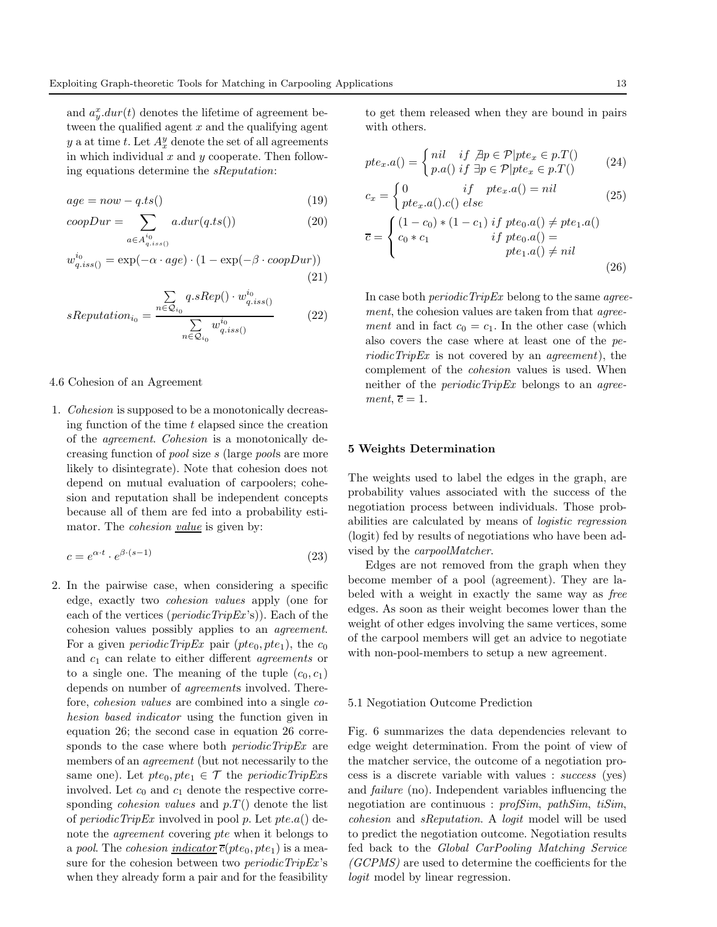and  $a_y^x.dur(t)$  denotes the lifetime of agreement between the qualified agent  $x$  and the qualifying agent  $y$  a at time  $t$ . Let  $A_x^y$  denote the set of all agreements in which individual  $x$  and  $y$  cooperate. Then following equations determine the *sReputation*:

$$
age = now - q.ts()
$$
 (19)

$$
coopDur = \sum_{a \in A_{q,iss(j)}^{i_0}} a.dur(q.ts()) \tag{20}
$$

$$
w_{q.iss()}^{i_0} = \exp(-\alpha \cdot age) \cdot (1 - \exp(-\beta \cdot coopDur))
$$
\n(21)

$$
sReputation_{i_0} = \frac{\sum\limits_{n \in \mathcal{Q}_{i_0}} q.sRep() \cdot w_{q.iss()}^{i_0}}{\sum\limits_{n \in \mathcal{Q}_{i_0}} w_{q.iss()}^{i_0}}
$$
(22)

#### 4.6 Cohesion of an Agreement

1. *Cohesion* is supposed to be a monotonically decreasing function of the time  $t$  elapsed since the creation of the *agreement*. *Cohesion* is a monotonically decreasing function of *pool* size s (large *pool*s are more likely to disintegrate). Note that cohesion does not depend on mutual evaluation of carpoolers; cohesion and reputation shall be independent concepts because all of them are fed into a probability estimator. The *cohesion value* is given by:

$$
c = e^{\alpha \cdot t} \cdot e^{\beta \cdot (s-1)} \tag{23}
$$

2. In the pairwise case, when considering a specific edge, exactly two *cohesion values* apply (one for each of the vertices (*periodicTripEx* 's)). Each of the cohesion values possibly applies to an *agreement*. For a given *periodicTripEx* pair  $(pte_0, pte_1)$ , the  $c_0$ and c<sup>1</sup> can relate to either different *agreements* or to a single one. The meaning of the tuple  $(c_0, c_1)$ depends on number of *agreement*s involved. Therefore, *cohesion values* are combined into a single *cohesion based indicator* using the function given in equation 26; the second case in equation 26 corresponds to the case where both *periodicTripEx* are members of an *agreement* (but not necessarily to the same one). Let  $pte_0, pte_1 \in \mathcal{T}$  the *periodicTripExs* involved. Let  $c_0$  and  $c_1$  denote the respective corresponding *cohesion values* and  $p.T()$  denote the list of *periodicTripEx* involved in pool p. Let pte.a() denote the *agreement* covering pte when it belongs to a *pool*. The *cohesion* indicator  $\overline{c}(pte_0, pte_1)$  is a measure for the cohesion between two *periodicTripEx* 's when they already form a pair and for the feasibility

to get them released when they are bound in pairs with others.

$$
pte_x.a() = \begin{cases} nil & if \ \nexists p \in \mathcal{P} | pte_x \in p.T() \\ p.a() & if \ \exists p \in \mathcal{P} | pte_x \in p.T() \end{cases} \tag{24}
$$

$$
c_x = \begin{cases} 0 & if \quad pte_x.a() = nil \\ pte_x.a().c() \quad else \end{cases}
$$
 (25)

$$
\overline{c} = \begin{cases}\n(1 - c_0) * (1 - c_1) & \text{if } p \neq c_0.a() \neq p \neq c_1.a() \\
c_0 * c_1 & \text{if } p \neq c_0.a() = \\
p \neq c_1.a() \neq nil\n\end{cases}
$$
\n(26)

In case both *periodicTripEx* belong to the same *agreement*, the cohesion values are taken from that *agreement* and in fact  $c_0 = c_1$ . In the other case (which also covers the case where at least one of the *periodicTripEx* is not covered by an *agreement*), the complement of the *cohesion* values is used. When neither of the *periodicTripEx* belongs to an *agreement*,  $\bar{c} = 1$ .

## 5 Weights Determination

The weights used to label the edges in the graph, are probability values associated with the success of the negotiation process between individuals. Those probabilities are calculated by means of *logistic regression* (logit) fed by results of negotiations who have been advised by the *carpoolMatcher*.

Edges are not removed from the graph when they become member of a pool (agreement). They are labeled with a weight in exactly the same way as *free* edges. As soon as their weight becomes lower than the weight of other edges involving the same vertices, some of the carpool members will get an advice to negotiate with non-pool-members to setup a new agreement.

#### 5.1 Negotiation Outcome Prediction

Fig. 6 summarizes the data dependencies relevant to edge weight determination. From the point of view of the matcher service, the outcome of a negotiation process is a discrete variable with values : *success* (yes) and *failure* (no). Independent variables influencing the negotiation are continuous : *profSim*, *pathSim*, *tiSim*, *cohesion* and *sReputation*. A *logit* model will be used to predict the negotiation outcome. Negotiation results fed back to the *Global CarPooling Matching Service (GCPMS)* are used to determine the coefficients for the *logit* model by linear regression.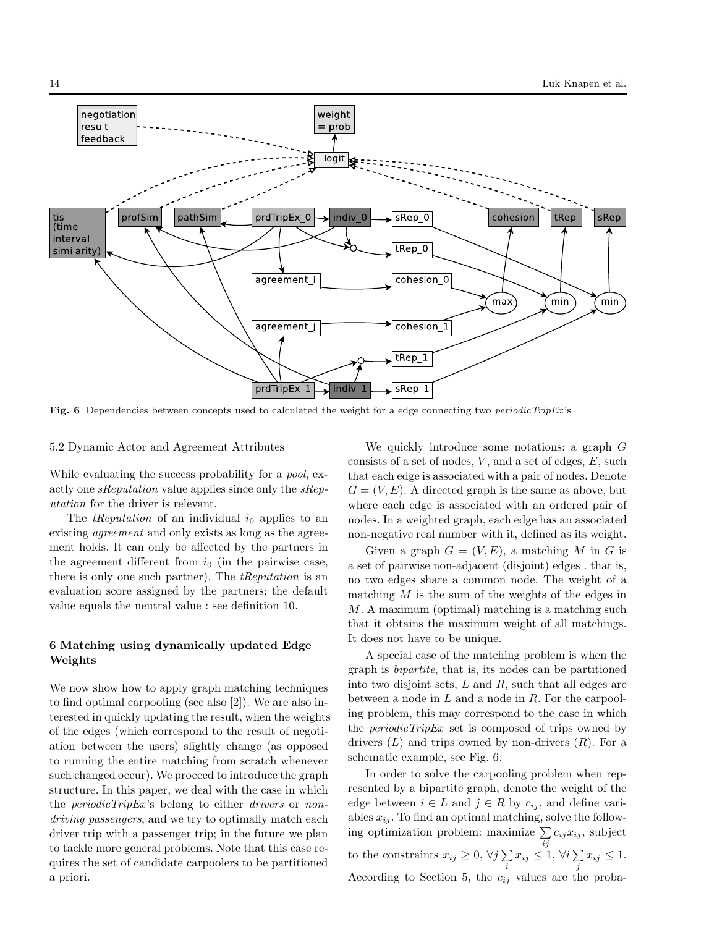

Fig. 6 Dependencies between concepts used to calculated the weight for a edge connecting two periodicTripEx's

#### 5.2 Dynamic Actor and Agreement Attributes

While evaluating the success probability for a *pool*, exactly one *sReputation* value applies since only the *sReputation* for the driver is relevant.

The *tReputation* of an individual  $i_0$  applies to an existing *agreement* and only exists as long as the agreement holds. It can only be affected by the partners in the agreement different from  $i_0$  (in the pairwise case, there is only one such partner). The *tReputation* is an evaluation score assigned by the partners; the default value equals the neutral value : see definition 10.

# 6 Matching using dynamically updated Edge Weights

We now show how to apply graph matching techniques to find optimal carpooling (see also [2]). We are also interested in quickly updating the result, when the weights of the edges (which correspond to the result of negotiation between the users) slightly change (as opposed to running the entire matching from scratch whenever such changed occur). We proceed to introduce the graph structure. In this paper, we deal with the case in which the *periodicTripEx* 's belong to either *drivers* or *nondriving passengers*, and we try to optimally match each driver trip with a passenger trip; in the future we plan to tackle more general problems. Note that this case requires the set of candidate carpoolers to be partitioned a priori.

We quickly introduce some notations: a graph G consists of a set of nodes,  $V$ , and a set of edges,  $E$ , such that each edge is associated with a pair of nodes. Denote  $G = (V, E)$ . A directed graph is the same as above, but where each edge is associated with an ordered pair of nodes. In a weighted graph, each edge has an associated non-negative real number with it, defined as its weight.

Given a graph  $G = (V, E)$ , a matching M in G is a set of pairwise non-adjacent (disjoint) edges . that is, no two edges share a common node. The weight of a matching  $M$  is the sum of the weights of the edges in M. A maximum (optimal) matching is a matching such that it obtains the maximum weight of all matchings. It does not have to be unique.

A special case of the matching problem is when the graph is *bipartite*, that is, its nodes can be partitioned into two disjoint sets,  $L$  and  $R$ , such that all edges are between a node in  $L$  and a node in  $R$ . For the carpooling problem, this may correspond to the case in which the *periodicTripEx* set is composed of trips owned by drivers  $(L)$  and trips owned by non-drivers  $(R)$ . For a schematic example, see Fig. 6.

In order to solve the carpooling problem when represented by a bipartite graph, denote the weight of the edge between  $i \in L$  and  $j \in R$  by  $c_{ij}$ , and define variables  $x_{ij}$ . To find an optimal matching, solve the following optimization problem: maximize  $\sum c_{ij}x_{ij}$ , subject ij to the constraints  $x_{ij} \geq 0$ ,  $\forall j$   $\sum_{i} x_{ij} \leq 1$ ,  $\forall i$   $\sum_{j} x_{ij} \leq 1$ . According to Section 5, the  $c_{ij}$  values are the proba-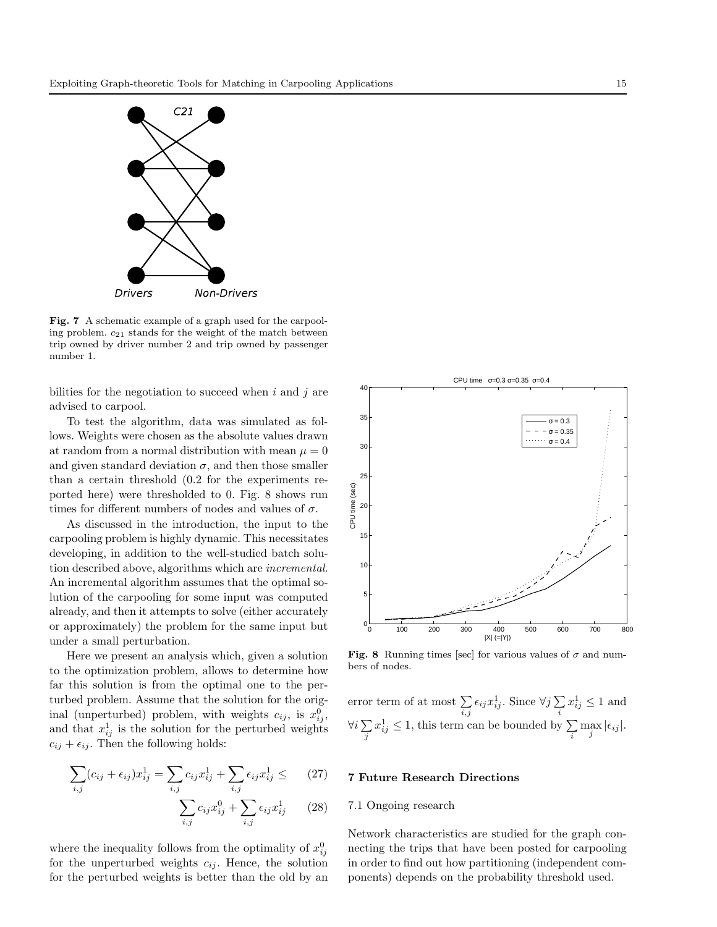

Fig. 7 A schematic example of a graph used for the carpooling problem.  $c_{21}$  stands for the weight of the match between trip owned by driver number 2 and trip owned by passenger number 1.

bilities for the negotiation to succeed when  $i$  and  $j$  are advised to carpool.

To test the algorithm, data was simulated as follows. Weights were chosen as the absolute values drawn at random from a normal distribution with mean  $\mu = 0$ and given standard deviation  $\sigma$ , and then those smaller than a certain threshold (0.2 for the experiments reported here) were thresholded to 0. Fig. 8 shows run times for different numbers of nodes and values of  $\sigma$ .

As discussed in the introduction, the input to the carpooling problem is highly dynamic. This necessitates developing, in addition to the well-studied batch solution described above, algorithms which are *incremental*. An incremental algorithm assumes that the optimal solution of the carpooling for some input was computed already, and then it attempts to solve (either accurately or approximately) the problem for the same input but under a small perturbation.

Here we present an analysis which, given a solution to the optimization problem, allows to determine how far this solution is from the optimal one to the perturbed problem. Assume that the solution for the original (unperturbed) problem, with weights  $c_{ij}$ , is  $x_{ij}^0$ , and that  $x_{ij}^1$  is the solution for the perturbed weights  $c_{ij} + \epsilon_{ij}$ . Then the following holds:

$$
\sum_{i,j} (c_{ij} + \epsilon_{ij}) x_{ij}^1 = \sum_{i,j} c_{ij} x_{ij}^1 + \sum_{i,j} \epsilon_{ij} x_{ij}^1 \leq (27)
$$

$$
\sum_{i,j} c_{ij} x_{ij}^0 + \sum_{i,j} \epsilon_{ij} x_{ij}^1 \qquad (28)
$$

where the inequality follows from the optimality of  $x_{ij}^0$ for the unperturbed weights  $c_{ij}$ . Hence, the solution for the perturbed weights is better than the old by an



Fig. 8 Running times [sec] for various values of  $\sigma$  and numbers of nodes.

error term of at most  $\sum_{i,j} \epsilon_{ij} x_{ij}^1$ . Since  $\forall j$   $\sum_i$ i  $x_{ij}^1 \leq 1$  and  $\forall i$   $\sum_j$  $x_{ij}^1 \leq 1$ , this term can be bounded by  $\sum_i \max_j |\epsilon_{ij}|$ .

#### 7 Future Research Directions

#### 7.1 Ongoing research

Network characteristics are studied for the graph connecting the trips that have been posted for carpooling in order to find out how partitioning (independent components) depends on the probability threshold used.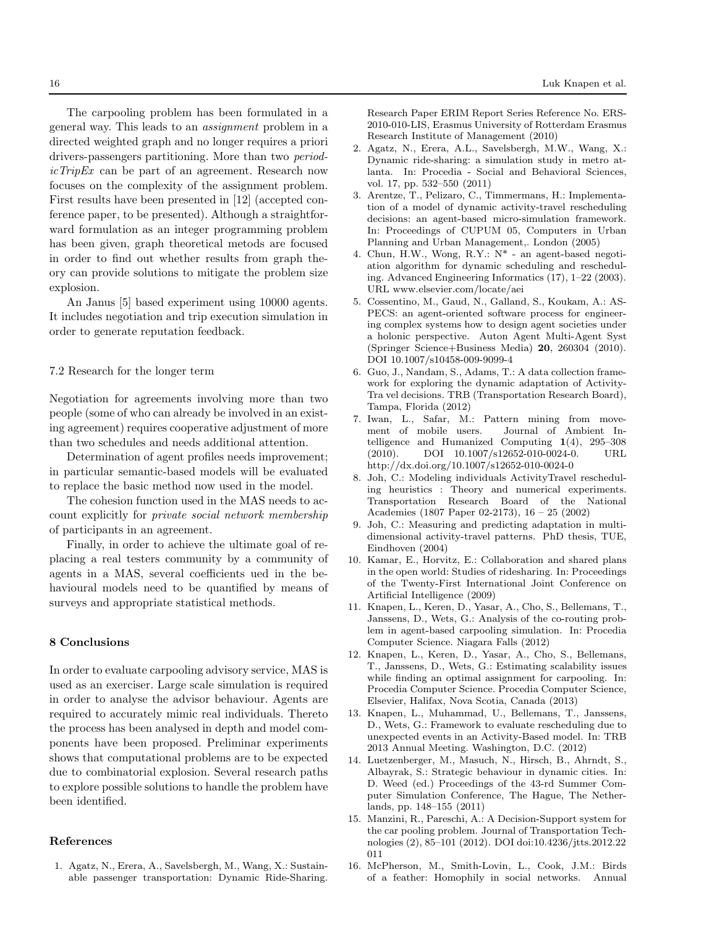The carpooling problem has been formulated in a general way. This leads to an *assignment* problem in a directed weighted graph and no longer requires a priori drivers-passengers partitioning. More than two *periodicTripEx* can be part of an agreement. Research now focuses on the complexity of the assignment problem. First results have been presented in [12] (accepted conference paper, to be presented). Although a straightforward formulation as an integer programming problem has been given, graph theoretical metods are focused in order to find out whether results from graph theory can provide solutions to mitigate the problem size explosion.

An Janus [5] based experiment using 10000 agents. It includes negotiation and trip execution simulation in order to generate reputation feedback.

#### 7.2 Research for the longer term

Negotiation for agreements involving more than two people (some of who can already be involved in an existing agreement) requires cooperative adjustment of more than two schedules and needs additional attention.

Determination of agent profiles needs improvement; in particular semantic-based models will be evaluated to replace the basic method now used in the model.

The cohesion function used in the MAS needs to account explicitly for *private social network membership* of participants in an agreement.

Finally, in order to achieve the ultimate goal of replacing a real testers community by a community of agents in a MAS, several coefficients ued in the behavioural models need to be quantified by means of surveys and appropriate statistical methods.

## 8 Conclusions

In order to evaluate carpooling advisory service, MAS is used as an exerciser. Large scale simulation is required in order to analyse the advisor behaviour. Agents are required to accurately mimic real individuals. Thereto the process has been analysed in depth and model components have been proposed. Preliminar experiments shows that computational problems are to be expected due to combinatorial explosion. Several research paths to explore possible solutions to handle the problem have been identified.

# References

1. Agatz, N., Erera, A., Savelsbergh, M., Wang, X.: Sustainable passenger transportation: Dynamic Ride-Sharing. Research Paper ERIM Report Series Reference No. ERS-2010-010-LIS, Erasmus University of Rotterdam Erasmus Research Institute of Management (2010)

- 2. Agatz, N., Erera, A.L., Savelsbergh, M.W., Wang, X.: Dynamic ride-sharing: a simulation study in metro atlanta. In: Procedia - Social and Behavioral Sciences, vol. 17, pp. 532–550 (2011)
- 3. Arentze, T., Pelizaro, C., Timmermans, H.: Implementation of a model of dynamic activity-travel rescheduling decisions: an agent-based micro-simulation framework. In: Proceedings of CUPUM 05, Computers in Urban Planning and Urban Management,. London (2005)
- 4. Chun, H.W., Wong, R.Y.: N\* an agent-based negotiation algorithm for dynamic scheduling and rescheduling. Advanced Engineering Informatics (17), 1–22 (2003). URL www.elsevier.com/locate/aei
- 5. Cossentino, M., Gaud, N., Galland, S., Koukam, A.: AS-PECS: an agent-oriented software process for engineering complex systems how to design agent societies under a holonic perspective. Auton Agent Multi-Agent Syst (Springer Science+Business Media) 20, 260304 (2010). DOI 10.1007/s10458-009-9099-4
- 6. Guo, J., Nandam, S., Adams, T.: A data collection framework for exploring the dynamic adaptation of Activity-Tra vel decisions. TRB (Transportation Research Board), Tampa, Florida (2012)
- 7. Iwan, L., Safar, M.: Pattern mining from move-Journal of Ambient Intelligence and Humanized Computing  $1(4)$ , 295–308 (2010). DOI 10.1007/s12652-010-0024-0. URL http://dx.doi.org/10.1007/s12652-010-0024-0
- 8. Joh, C.: Modeling individuals ActivityTravel rescheduling heuristics : Theory and numerical experiments. Transportation Research Board of the National Academies (1807 Paper 02-2173), 16 – 25 (2002)
- 9. Joh, C.: Measuring and predicting adaptation in multidimensional activity-travel patterns. PhD thesis, TUE, Eindhoven (2004)
- 10. Kamar, E., Horvitz, E.: Collaboration and shared plans in the open world: Studies of ridesharing. In: Proceedings of the Twenty-First International Joint Conference on Artificial Intelligence (2009)
- 11. Knapen, L., Keren, D., Yasar, A., Cho, S., Bellemans, T., Janssens, D., Wets, G.: Analysis of the co-routing problem in agent-based carpooling simulation. In: Procedia Computer Science. Niagara Falls (2012)
- 12. Knapen, L., Keren, D., Yasar, A., Cho, S., Bellemans, T., Janssens, D., Wets, G.: Estimating scalability issues while finding an optimal assignment for carpooling. In: Procedia Computer Science. Procedia Computer Science, Elsevier, Halifax, Nova Scotia, Canada (2013)
- 13. Knapen, L., Muhammad, U., Bellemans, T., Janssens, D., Wets, G.: Framework to evaluate rescheduling due to unexpected events in an Activity-Based model. In: TRB 2013 Annual Meeting. Washington, D.C. (2012)
- 14. Luetzenberger, M., Masuch, N., Hirsch, B., Ahrndt, S., Albayrak, S.: Strategic behaviour in dynamic cities. In: D. Weed (ed.) Proceedings of the 43-rd Summer Computer Simulation Conference, The Hague, The Netherlands, pp. 148–155 (2011)
- 15. Manzini, R., Pareschi, A.: A Decision-Support system for the car pooling problem. Journal of Transportation Technologies (2), 85–101 (2012). DOI doi:10.4236/jtts.2012.22 011
- 16. McPherson, M., Smith-Lovin, L., Cook, J.M.: Birds of a feather: Homophily in social networks. Annual